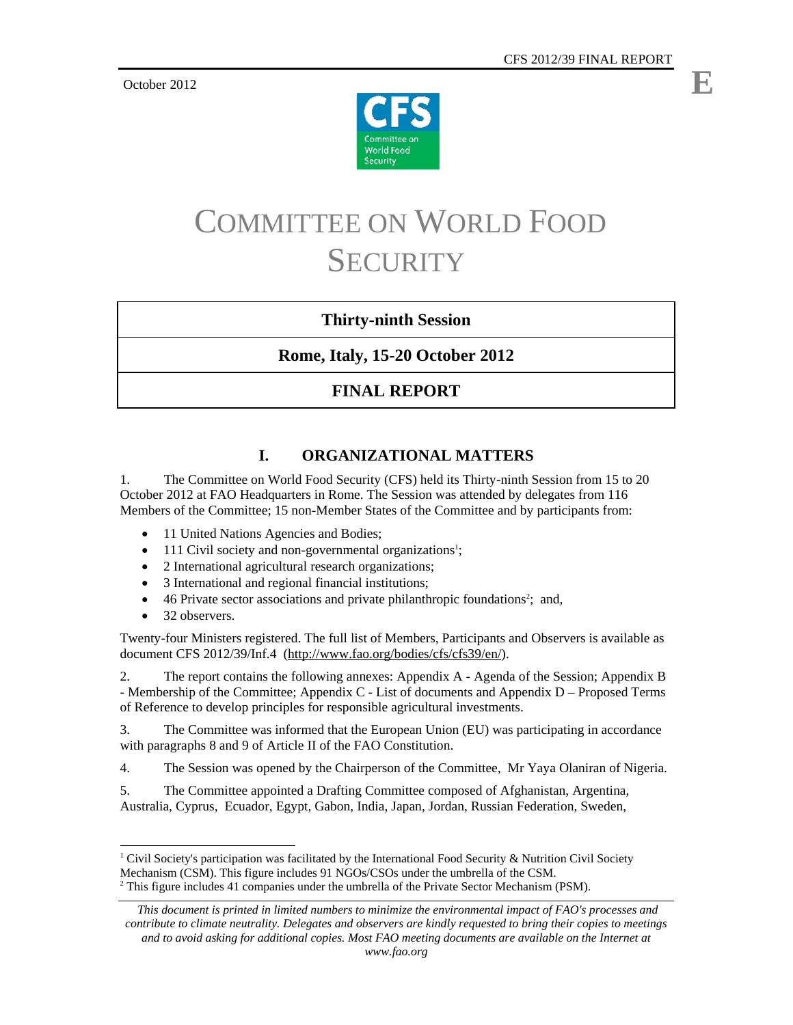October 2012



# COMMITTEE ON WORLD FOOD **SECURITY**

# **Thirty-ninth Session**

**Rome, Italy, 15-20 October 2012** 

# **FINAL REPORT**

# **I. ORGANIZATIONAL MATTERS**

1. The Committee on World Food Security (CFS) held its Thirty-ninth Session from 15 to 20 October 2012 at FAO Headquarters in Rome. The Session was attended by delegates from 116 Members of the Committee; 15 non-Member States of the Committee and by participants from:

- 11 United Nations Agencies and Bodies;
- 111 Civil society and non-governmental organizations<sup>1</sup>;
- 2 International agricultural research organizations;
- 3 International and regional financial institutions;
- 46 Private sector associations and private philanthropic foundations<sup>2</sup>; and,
- 32 observers.

Twenty-four Ministers registered. The full list of Members, Participants and Observers is available as document CFS 2012/39/Inf.4 (http://www.fao.org/bodies/cfs/cfs39/en/).

2. The report contains the following annexes: Appendix A - Agenda of the Session; Appendix B - Membership of the Committee; Appendix C - List of documents and Appendix D – Proposed Terms of Reference to develop principles for responsible agricultural investments.

3. The Committee was informed that the European Union (EU) was participating in accordance with paragraphs 8 and 9 of Article II of the FAO Constitution.

4. The Session was opened by the Chairperson of the Committee, Mr Yaya Olaniran of Nigeria.

5. The Committee appointed a Drafting Committee composed of Afghanistan, Argentina, Australia, Cyprus, Ecuador, Egypt, Gabon, India, Japan, Jordan, Russian Federation, Sweden,

l <sup>1</sup> Civil Society's participation was facilitated by the International Food Security & Nutrition Civil Society Mechanism (CSM). This figure includes 91 NGOs/CSOs under the umbrella of the CSM.  $2$  This figure includes 41 companies under the umbrella of the Private Sector Mechanism (PSM).

*This document is printed in limited numbers to minimize the environmental impact of FAO's processes and contribute to climate neutrality. Delegates and observers are kindly requested to bring their copies to meetings and to avoid asking for additional copies. Most FAO meeting documents are available on the Internet at*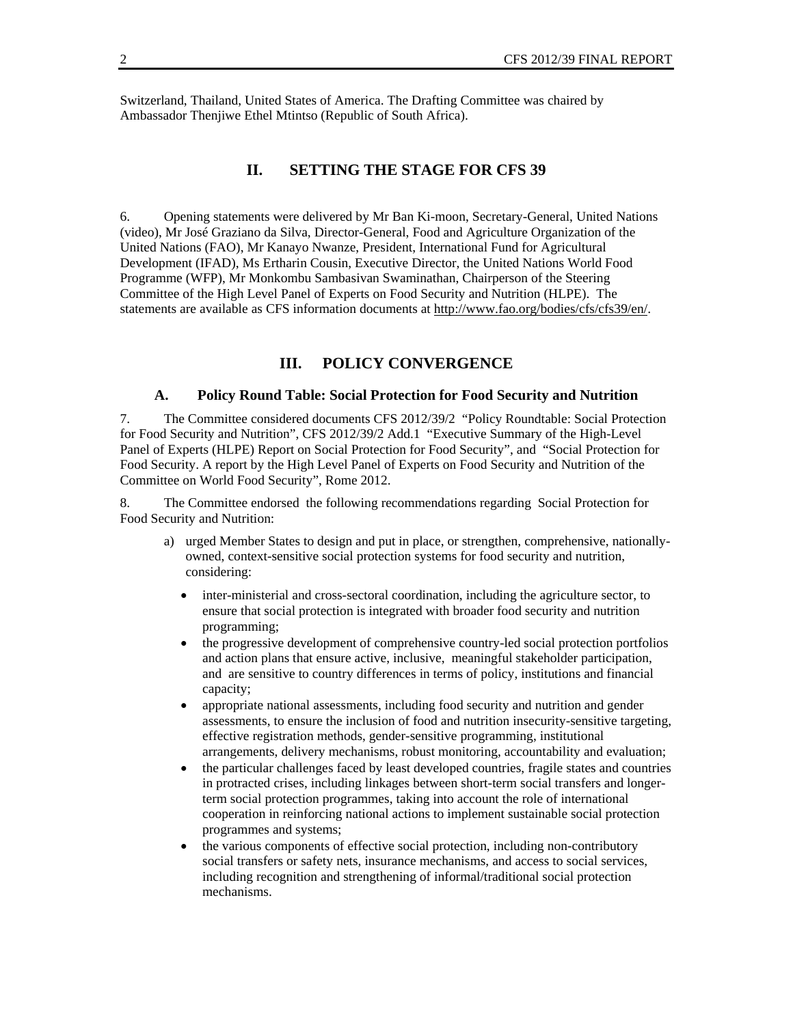Switzerland, Thailand, United States of America. The Drafting Committee was chaired by Ambassador Thenjiwe Ethel Mtintso (Republic of South Africa).

## **II. SETTING THE STAGE FOR CFS 39**

6. Opening statements were delivered by Mr Ban Ki-moon, Secretary-General, United Nations (video), Mr José Graziano da Silva, Director-General, Food and Agriculture Organization of the United Nations (FAO), Mr Kanayo Nwanze, President, International Fund for Agricultural Development (IFAD), Ms Ertharin Cousin, Executive Director, the United Nations World Food Programme (WFP), Mr Monkombu Sambasivan Swaminathan, Chairperson of the Steering Committee of the High Level Panel of Experts on Food Security and Nutrition (HLPE). The statements are available as CFS information documents at http://www.fao.org/bodies/cfs/cfs39/en/.

## **III. POLICY CONVERGENCE**

#### **A. Policy Round Table: Social Protection for Food Security and Nutrition**

7. The Committee considered documents CFS 2012/39/2 "Policy Roundtable: Social Protection for Food Security and Nutrition", CFS 2012/39/2 Add.1 "Executive Summary of the High-Level Panel of Experts (HLPE) Report on Social Protection for Food Security", and "Social Protection for Food Security. A report by the High Level Panel of Experts on Food Security and Nutrition of the Committee on World Food Security", Rome 2012.

8. The Committee endorsed the following recommendations regarding Social Protection for Food Security and Nutrition:

- a) urged Member States to design and put in place, or strengthen, comprehensive, nationallyowned, context-sensitive social protection systems for food security and nutrition, considering:
	- inter-ministerial and cross-sectoral coordination, including the agriculture sector, to ensure that social protection is integrated with broader food security and nutrition programming;
	- the progressive development of comprehensive country-led social protection portfolios and action plans that ensure active, inclusive, meaningful stakeholder participation, and are sensitive to country differences in terms of policy, institutions and financial capacity;
	- appropriate national assessments, including food security and nutrition and gender assessments, to ensure the inclusion of food and nutrition insecurity-sensitive targeting, effective registration methods, gender-sensitive programming, institutional arrangements, delivery mechanisms, robust monitoring, accountability and evaluation;
	- the particular challenges faced by least developed countries, fragile states and countries in protracted crises, including linkages between short-term social transfers and longerterm social protection programmes, taking into account the role of international cooperation in reinforcing national actions to implement sustainable social protection programmes and systems;
	- the various components of effective social protection, including non-contributory social transfers or safety nets, insurance mechanisms, and access to social services, including recognition and strengthening of informal/traditional social protection mechanisms.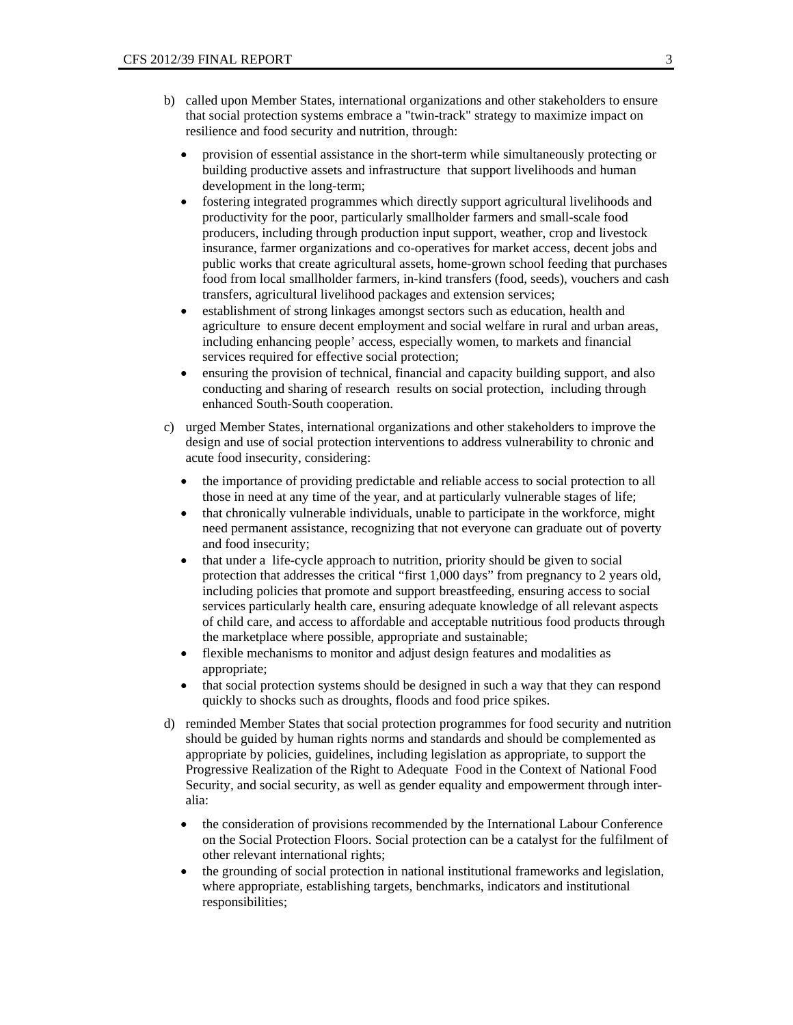- b) called upon Member States, international organizations and other stakeholders to ensure that social protection systems embrace a "twin-track" strategy to maximize impact on resilience and food security and nutrition, through:
	- provision of essential assistance in the short-term while simultaneously protecting or building productive assets and infrastructure that support livelihoods and human development in the long-term;
	- fostering integrated programmes which directly support agricultural livelihoods and productivity for the poor, particularly smallholder farmers and small-scale food producers, including through production input support, weather, crop and livestock insurance, farmer organizations and co-operatives for market access, decent jobs and public works that create agricultural assets, home-grown school feeding that purchases food from local smallholder farmers, in-kind transfers (food, seeds), vouchers and cash transfers, agricultural livelihood packages and extension services;
	- establishment of strong linkages amongst sectors such as education, health and agriculture to ensure decent employment and social welfare in rural and urban areas, including enhancing people' access, especially women, to markets and financial services required for effective social protection;
	- ensuring the provision of technical, financial and capacity building support, and also conducting and sharing of research results on social protection, including through enhanced South-South cooperation.
- c) urged Member States, international organizations and other stakeholders to improve the design and use of social protection interventions to address vulnerability to chronic and acute food insecurity, considering:
	- the importance of providing predictable and reliable access to social protection to all those in need at any time of the year, and at particularly vulnerable stages of life;
	- that chronically vulnerable individuals, unable to participate in the workforce, might need permanent assistance, recognizing that not everyone can graduate out of poverty and food insecurity;
	- that under a life-cycle approach to nutrition, priority should be given to social protection that addresses the critical "first 1,000 days" from pregnancy to 2 years old, including policies that promote and support breastfeeding, ensuring access to social services particularly health care, ensuring adequate knowledge of all relevant aspects of child care, and access to affordable and acceptable nutritious food products through the marketplace where possible, appropriate and sustainable;
	- flexible mechanisms to monitor and adjust design features and modalities as appropriate;
	- that social protection systems should be designed in such a way that they can respond quickly to shocks such as droughts, floods and food price spikes.
- d) reminded Member States that social protection programmes for food security and nutrition should be guided by human rights norms and standards and should be complemented as appropriate by policies, guidelines, including legislation as appropriate, to support the Progressive Realization of the Right to Adequate Food in the Context of National Food Security, and social security, as well as gender equality and empowerment through interalia:
	- the consideration of provisions recommended by the International Labour Conference on the Social Protection Floors. Social protection can be a catalyst for the fulfilment of other relevant international rights;
	- the grounding of social protection in national institutional frameworks and legislation, where appropriate, establishing targets, benchmarks, indicators and institutional responsibilities;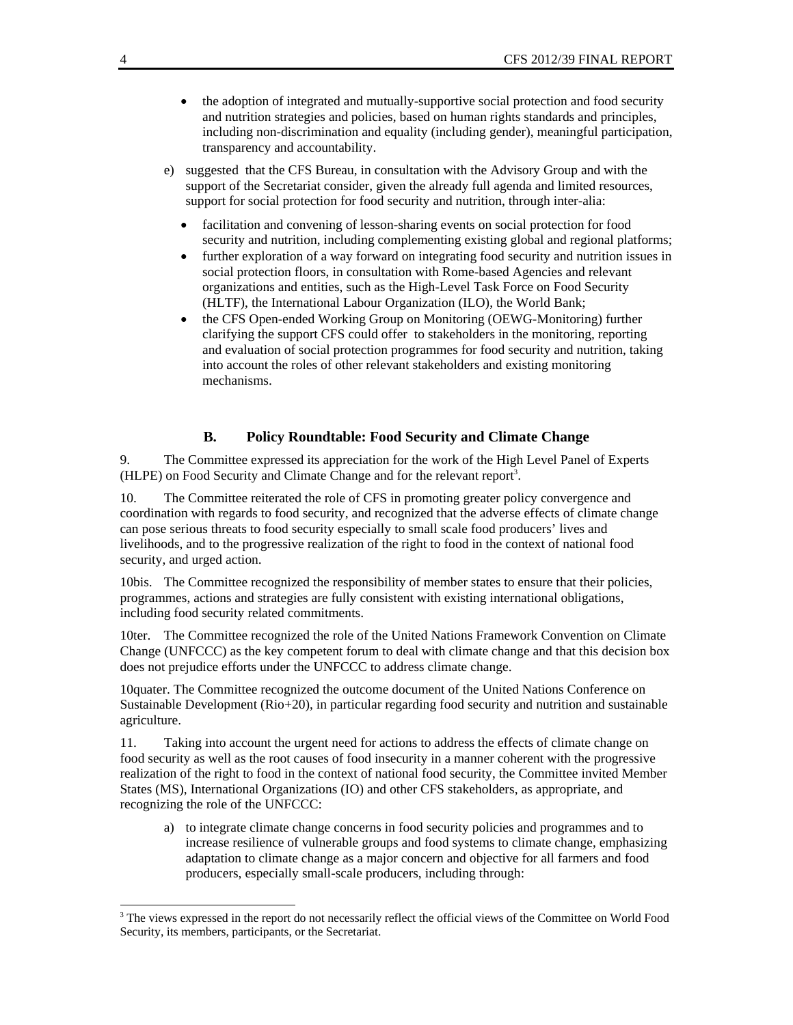- the adoption of integrated and mutually-supportive social protection and food security and nutrition strategies and policies, based on human rights standards and principles, including non-discrimination and equality (including gender), meaningful participation, transparency and accountability.
- e) suggested that the CFS Bureau, in consultation with the Advisory Group and with the support of the Secretariat consider, given the already full agenda and limited resources, support for social protection for food security and nutrition, through inter-alia:
	- facilitation and convening of lesson-sharing events on social protection for food security and nutrition, including complementing existing global and regional platforms;
	- further exploration of a way forward on integrating food security and nutrition issues in social protection floors, in consultation with Rome-based Agencies and relevant organizations and entities, such as the High-Level Task Force on Food Security (HLTF), the International Labour Organization (ILO), the World Bank;
	- the CFS Open-ended Working Group on Monitoring (OEWG-Monitoring) further clarifying the support CFS could offer to stakeholders in the monitoring, reporting and evaluation of social protection programmes for food security and nutrition, taking into account the roles of other relevant stakeholders and existing monitoring mechanisms.

#### **B. Policy Roundtable: Food Security and Climate Change**

9. The Committee expressed its appreciation for the work of the High Level Panel of Experts (HLPE) on Food Security and Climate Change and for the relevant report<sup>3</sup>.

10. The Committee reiterated the role of CFS in promoting greater policy convergence and coordination with regards to food security, and recognized that the adverse effects of climate change can pose serious threats to food security especially to small scale food producers' lives and livelihoods, and to the progressive realization of the right to food in the context of national food security, and urged action.

10bis. The Committee recognized the responsibility of member states to ensure that their policies, programmes, actions and strategies are fully consistent with existing international obligations, including food security related commitments.

10ter. The Committee recognized the role of the United Nations Framework Convention on Climate Change (UNFCCC) as the key competent forum to deal with climate change and that this decision box does not prejudice efforts under the UNFCCC to address climate change.

10quater. The Committee recognized the outcome document of the United Nations Conference on Sustainable Development (Rio+20), in particular regarding food security and nutrition and sustainable agriculture.

11. Taking into account the urgent need for actions to address the effects of climate change on food security as well as the root causes of food insecurity in a manner coherent with the progressive realization of the right to food in the context of national food security, the Committee invited Member States (MS), International Organizations (IO) and other CFS stakeholders, as appropriate, and recognizing the role of the UNFCCC:

a) to integrate climate change concerns in food security policies and programmes and to increase resilience of vulnerable groups and food systems to climate change, emphasizing adaptation to climate change as a major concern and objective for all farmers and food producers, especially small-scale producers, including through:

 $\overline{a}$ 

<sup>&</sup>lt;sup>3</sup> The views expressed in the report do not necessarily reflect the official views of the Committee on World Food Security, its members, participants, or the Secretariat.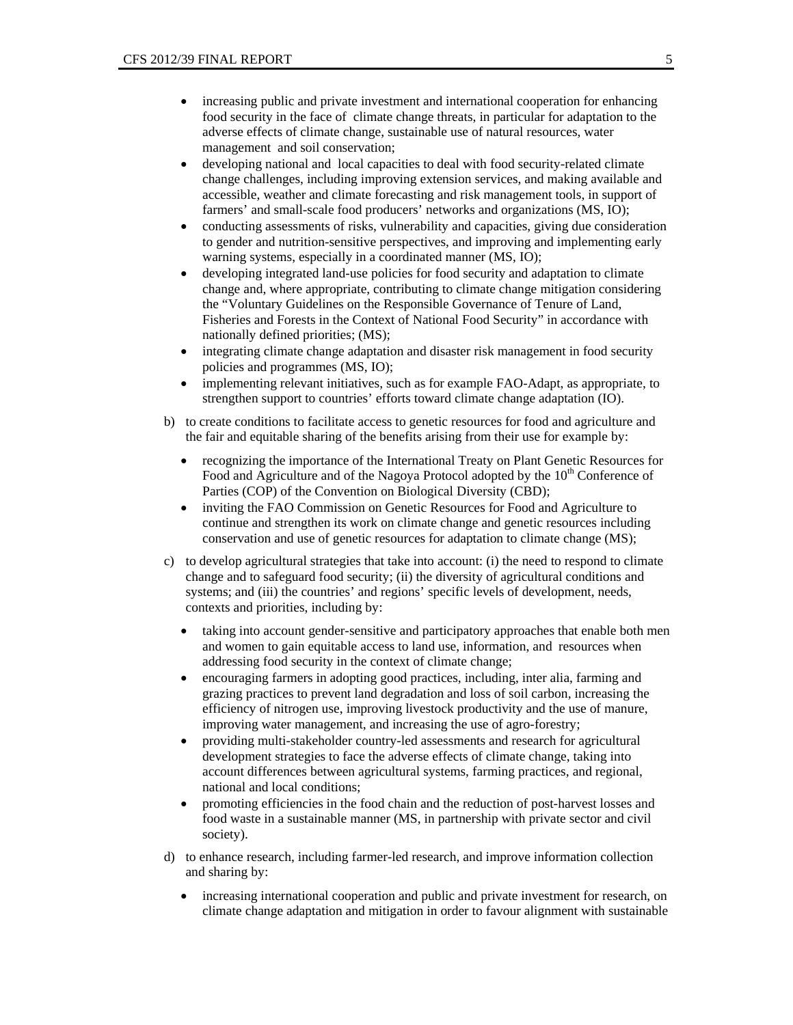- increasing public and private investment and international cooperation for enhancing food security in the face of climate change threats, in particular for adaptation to the adverse effects of climate change, sustainable use of natural resources, water management and soil conservation;
- developing national and local capacities to deal with food security-related climate change challenges, including improving extension services, and making available and accessible, weather and climate forecasting and risk management tools, in support of farmers' and small-scale food producers' networks and organizations (MS, IO);
- conducting assessments of risks, vulnerability and capacities, giving due consideration to gender and nutrition-sensitive perspectives, and improving and implementing early warning systems, especially in a coordinated manner (MS, IO);
- developing integrated land-use policies for food security and adaptation to climate change and, where appropriate, contributing to climate change mitigation considering the "Voluntary Guidelines on the Responsible Governance of Tenure of Land, Fisheries and Forests in the Context of National Food Security" in accordance with nationally defined priorities; (MS);
- integrating climate change adaptation and disaster risk management in food security policies and programmes (MS, IO);
- implementing relevant initiatives, such as for example FAO-Adapt, as appropriate, to strengthen support to countries' efforts toward climate change adaptation (IO).
- b) to create conditions to facilitate access to genetic resources for food and agriculture and the fair and equitable sharing of the benefits arising from their use for example by:
	- recognizing the importance of the International Treaty on Plant Genetic Resources for Food and Agriculture and of the Nagoya Protocol adopted by the  $10<sup>th</sup>$  Conference of Parties (COP) of the Convention on Biological Diversity (CBD);
	- inviting the FAO Commission on Genetic Resources for Food and Agriculture to continue and strengthen its work on climate change and genetic resources including conservation and use of genetic resources for adaptation to climate change (MS);
- c) to develop agricultural strategies that take into account: (i) the need to respond to climate change and to safeguard food security; (ii) the diversity of agricultural conditions and systems; and (iii) the countries' and regions' specific levels of development, needs, contexts and priorities, including by:
	- taking into account gender-sensitive and participatory approaches that enable both men and women to gain equitable access to land use, information, and resources when addressing food security in the context of climate change;
	- encouraging farmers in adopting good practices, including, inter alia, farming and grazing practices to prevent land degradation and loss of soil carbon, increasing the efficiency of nitrogen use, improving livestock productivity and the use of manure, improving water management, and increasing the use of agro-forestry;
	- providing multi-stakeholder country-led assessments and research for agricultural development strategies to face the adverse effects of climate change, taking into account differences between agricultural systems, farming practices, and regional, national and local conditions;
	- promoting efficiencies in the food chain and the reduction of post-harvest losses and food waste in a sustainable manner (MS, in partnership with private sector and civil society).
- d) to enhance research, including farmer-led research, and improve information collection and sharing by:
	- increasing international cooperation and public and private investment for research, on climate change adaptation and mitigation in order to favour alignment with sustainable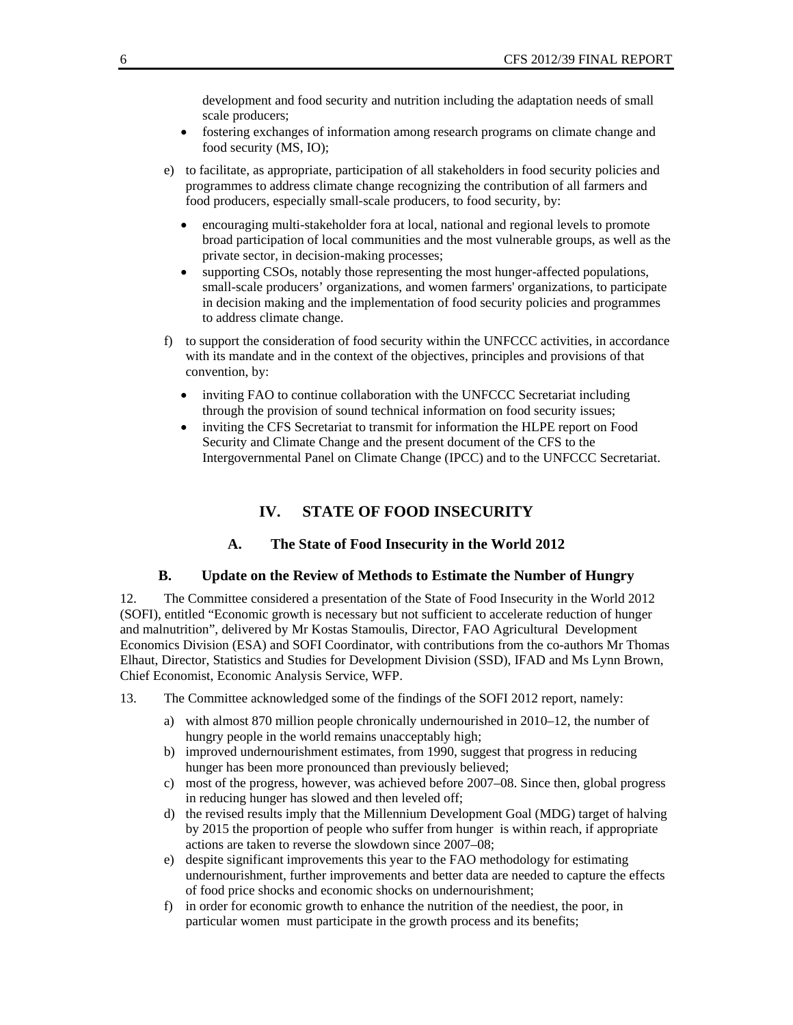development and food security and nutrition including the adaptation needs of small scale producers;

- fostering exchanges of information among research programs on climate change and food security (MS, IO);
- e) to facilitate, as appropriate, participation of all stakeholders in food security policies and programmes to address climate change recognizing the contribution of all farmers and food producers, especially small-scale producers, to food security, by:
	- encouraging multi-stakeholder fora at local, national and regional levels to promote broad participation of local communities and the most vulnerable groups, as well as the private sector, in decision-making processes;
	- supporting CSOs, notably those representing the most hunger-affected populations, small-scale producers' organizations, and women farmers' organizations, to participate in decision making and the implementation of food security policies and programmes to address climate change.
- f) to support the consideration of food security within the UNFCCC activities, in accordance with its mandate and in the context of the objectives, principles and provisions of that convention, by:
	- inviting FAO to continue collaboration with the UNFCCC Secretariat including through the provision of sound technical information on food security issues;
	- inviting the CFS Secretariat to transmit for information the HLPE report on Food Security and Climate Change and the present document of the CFS to the Intergovernmental Panel on Climate Change (IPCC) and to the UNFCCC Secretariat.

## **IV. STATE OF FOOD INSECURITY**

#### **A. The State of Food Insecurity in the World 2012**

#### **B. Update on the Review of Methods to Estimate the Number of Hungry**

12. The Committee considered a presentation of the State of Food Insecurity in the World 2012 (SOFI), entitled "Economic growth is necessary but not sufficient to accelerate reduction of hunger and malnutrition", delivered by Mr Kostas Stamoulis, Director, FAO Agricultural Development Economics Division (ESA) and SOFI Coordinator, with contributions from the co-authors Mr Thomas Elhaut, Director, Statistics and Studies for Development Division (SSD), IFAD and Ms Lynn Brown, Chief Economist, Economic Analysis Service, WFP.

13. The Committee acknowledged some of the findings of the SOFI 2012 report, namely:

- a) with almost 870 million people chronically undernourished in 2010–12, the number of hungry people in the world remains unacceptably high;
- b) improved undernourishment estimates, from 1990, suggest that progress in reducing hunger has been more pronounced than previously believed;
- c) most of the progress, however, was achieved before 2007–08. Since then, global progress in reducing hunger has slowed and then leveled off;
- d) the revised results imply that the Millennium Development Goal (MDG) target of halving by 2015 the proportion of people who suffer from hunger is within reach, if appropriate actions are taken to reverse the slowdown since 2007–08;
- e) despite significant improvements this year to the FAO methodology for estimating undernourishment, further improvements and better data are needed to capture the effects of food price shocks and economic shocks on undernourishment;
- f) in order for economic growth to enhance the nutrition of the neediest, the poor, in particular women must participate in the growth process and its benefits;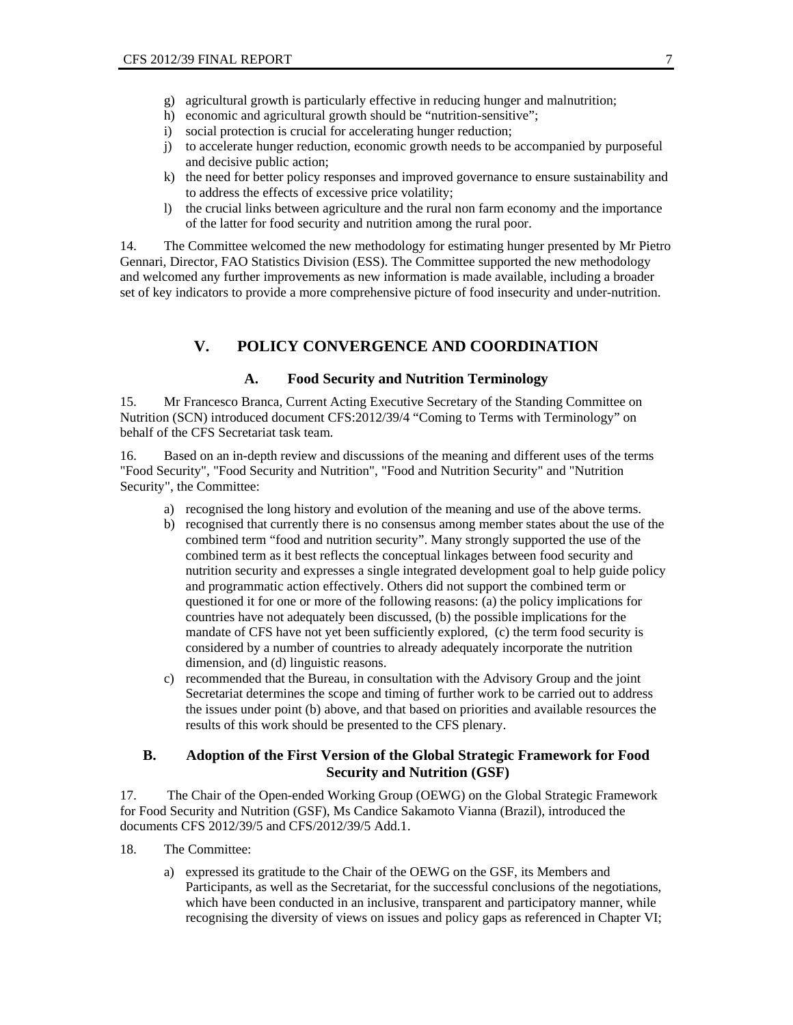- g) agricultural growth is particularly effective in reducing hunger and malnutrition;
- h) economic and agricultural growth should be "nutrition-sensitive":
- i) social protection is crucial for accelerating hunger reduction;
- j) to accelerate hunger reduction, economic growth needs to be accompanied by purposeful and decisive public action;
- k) the need for better policy responses and improved governance to ensure sustainability and to address the effects of excessive price volatility;
- l) the crucial links between agriculture and the rural non farm economy and the importance of the latter for food security and nutrition among the rural poor.

14. The Committee welcomed the new methodology for estimating hunger presented by Mr Pietro Gennari, Director, FAO Statistics Division (ESS). The Committee supported the new methodology and welcomed any further improvements as new information is made available, including a broader set of key indicators to provide a more comprehensive picture of food insecurity and under-nutrition.

## **V. POLICY CONVERGENCE AND COORDINATION**

#### **A. Food Security and Nutrition Terminology**

15. Mr Francesco Branca, Current Acting Executive Secretary of the Standing Committee on Nutrition (SCN) introduced document CFS:2012/39/4 "Coming to Terms with Terminology" on behalf of the CFS Secretariat task team.

16. Based on an in-depth review and discussions of the meaning and different uses of the terms "Food Security", "Food Security and Nutrition", "Food and Nutrition Security" and "Nutrition Security", the Committee:

- a) recognised the long history and evolution of the meaning and use of the above terms.
- b) recognised that currently there is no consensus among member states about the use of the combined term "food and nutrition security". Many strongly supported the use of the combined term as it best reflects the conceptual linkages between food security and nutrition security and expresses a single integrated development goal to help guide policy and programmatic action effectively. Others did not support the combined term or questioned it for one or more of the following reasons: (a) the policy implications for countries have not adequately been discussed, (b) the possible implications for the mandate of CFS have not yet been sufficiently explored, (c) the term food security is considered by a number of countries to already adequately incorporate the nutrition dimension, and (d) linguistic reasons.
- c) recommended that the Bureau, in consultation with the Advisory Group and the joint Secretariat determines the scope and timing of further work to be carried out to address the issues under point (b) above, and that based on priorities and available resources the results of this work should be presented to the CFS plenary.

## **B. Adoption of the First Version of the Global Strategic Framework for Food Security and Nutrition (GSF)**

17. The Chair of the Open-ended Working Group (OEWG) on the Global Strategic Framework for Food Security and Nutrition (GSF), Ms Candice Sakamoto Vianna (Brazil), introduced the documents CFS 2012/39/5 and CFS/2012/39/5 Add.1.

- 18. The Committee:
	- a) expressed its gratitude to the Chair of the OEWG on the GSF, its Members and Participants, as well as the Secretariat, for the successful conclusions of the negotiations, which have been conducted in an inclusive, transparent and participatory manner, while recognising the diversity of views on issues and policy gaps as referenced in Chapter VI;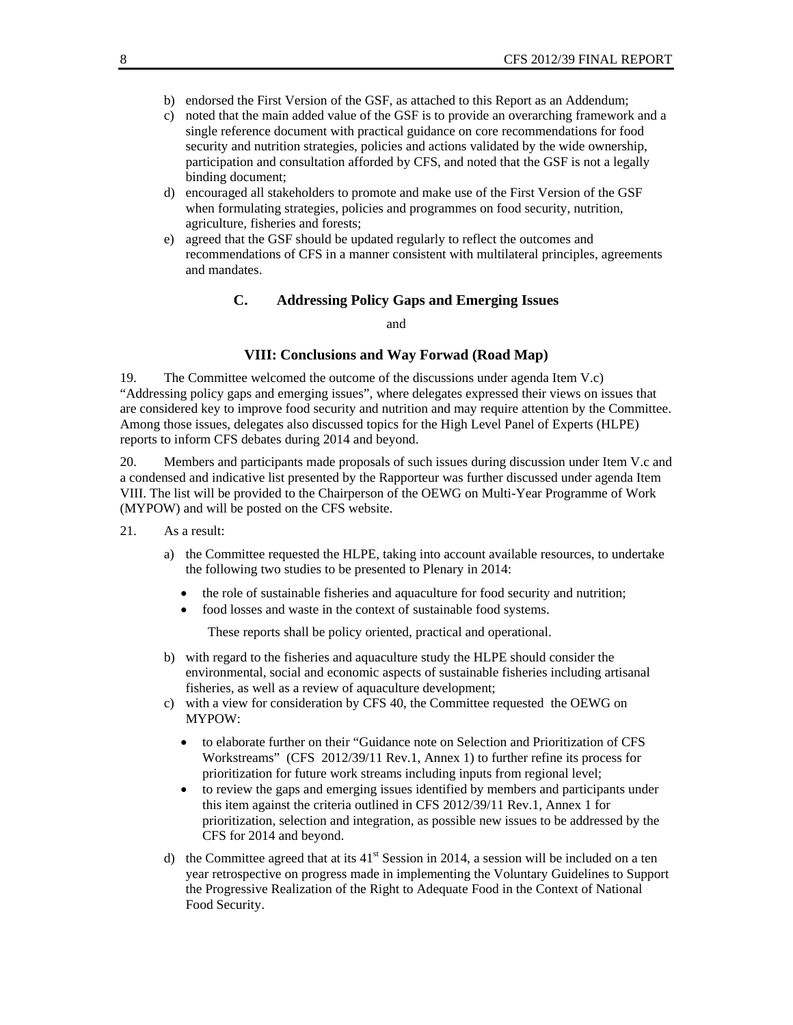- b) endorsed the First Version of the GSF, as attached to this Report as an Addendum;
- c) noted that the main added value of the GSF is to provide an overarching framework and a single reference document with practical guidance on core recommendations for food security and nutrition strategies, policies and actions validated by the wide ownership, participation and consultation afforded by CFS, and noted that the GSF is not a legally binding document;
- d) encouraged all stakeholders to promote and make use of the First Version of the GSF when formulating strategies, policies and programmes on food security, nutrition, agriculture, fisheries and forests;
- e) agreed that the GSF should be updated regularly to reflect the outcomes and recommendations of CFS in a manner consistent with multilateral principles, agreements and mandates.

## **C. Addressing Policy Gaps and Emerging Issues**

and

#### **VIII: Conclusions and Way Forwad (Road Map)**

19. The Committee welcomed the outcome of the discussions under agenda Item V.c) "Addressing policy gaps and emerging issues", where delegates expressed their views on issues that are considered key to improve food security and nutrition and may require attention by the Committee. Among those issues, delegates also discussed topics for the High Level Panel of Experts (HLPE) reports to inform CFS debates during 2014 and beyond.

20. Members and participants made proposals of such issues during discussion under Item V.c and a condensed and indicative list presented by the Rapporteur was further discussed under agenda Item VIII. The list will be provided to the Chairperson of the OEWG on Multi-Year Programme of Work (MYPOW) and will be posted on the CFS website.

- 21. As a result:
	- a) the Committee requested the HLPE, taking into account available resources, to undertake the following two studies to be presented to Plenary in 2014:
		- the role of sustainable fisheries and aquaculture for food security and nutrition;
		- food losses and waste in the context of sustainable food systems.

These reports shall be policy oriented, practical and operational.

- b) with regard to the fisheries and aquaculture study the HLPE should consider the environmental, social and economic aspects of sustainable fisheries including artisanal fisheries, as well as a review of aquaculture development;
- c) with a view for consideration by CFS 40, the Committee requested the OEWG on MYPOW:
	- to elaborate further on their "Guidance note on Selection and Prioritization of CFS Workstreams" (CFS 2012/39/11 Rev.1, Annex 1) to further refine its process for prioritization for future work streams including inputs from regional level;
	- to review the gaps and emerging issues identified by members and participants under this item against the criteria outlined in CFS 2012/39/11 Rev.1, Annex 1 for prioritization, selection and integration, as possible new issues to be addressed by the CFS for 2014 and beyond.
- d) the Committee agreed that at its  $41^{st}$  Session in 2014, a session will be included on a ten year retrospective on progress made in implementing the Voluntary Guidelines to Support the Progressive Realization of the Right to Adequate Food in the Context of National Food Security.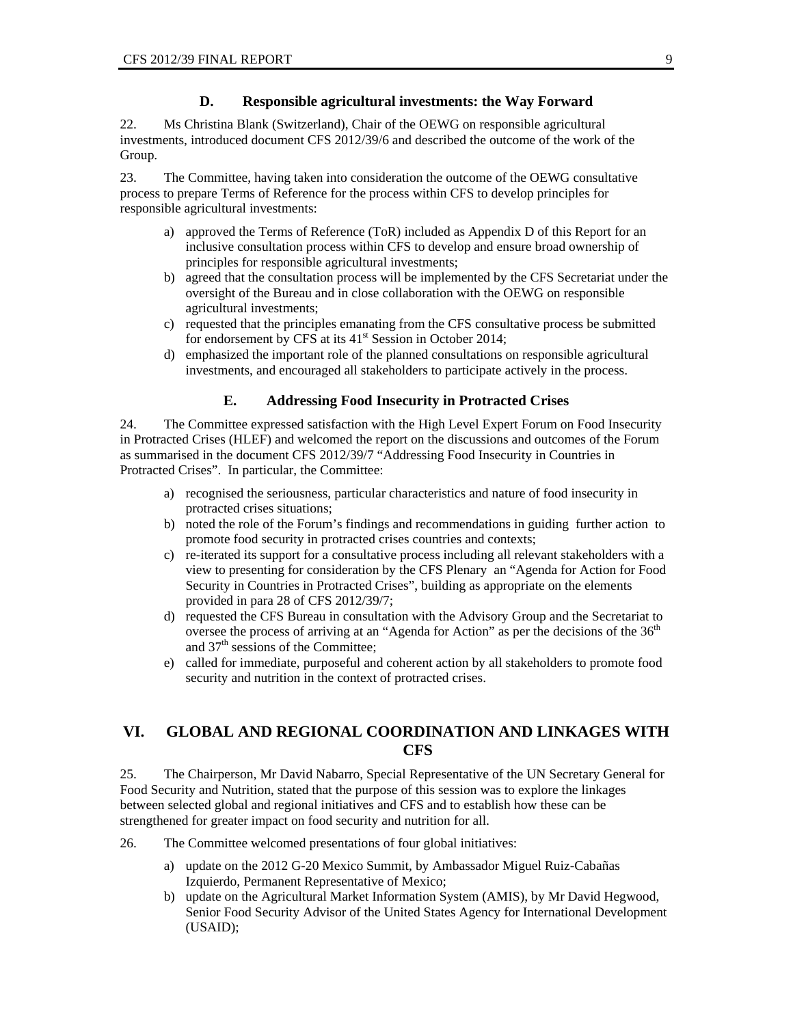#### **D. Responsible agricultural investments: the Way Forward**

22. Ms Christina Blank (Switzerland), Chair of the OEWG on responsible agricultural investments, introduced document CFS 2012/39/6 and described the outcome of the work of the Group.

23. The Committee, having taken into consideration the outcome of the OEWG consultative process to prepare Terms of Reference for the process within CFS to develop principles for responsible agricultural investments:

- a) approved the Terms of Reference (ToR) included as Appendix D of this Report for an inclusive consultation process within CFS to develop and ensure broad ownership of principles for responsible agricultural investments;
- b) agreed that the consultation process will be implemented by the CFS Secretariat under the oversight of the Bureau and in close collaboration with the OEWG on responsible agricultural investments;
- c) requested that the principles emanating from the CFS consultative process be submitted for endorsement by CFS at its 41<sup>st</sup> Session in October 2014;
- d) emphasized the important role of the planned consultations on responsible agricultural investments, and encouraged all stakeholders to participate actively in the process.

#### **E. Addressing Food Insecurity in Protracted Crises**

24. The Committee expressed satisfaction with the High Level Expert Forum on Food Insecurity in Protracted Crises (HLEF) and welcomed the report on the discussions and outcomes of the Forum as summarised in the document CFS 2012/39/7 "Addressing Food Insecurity in Countries in Protracted Crises". In particular, the Committee:

- a) recognised the seriousness, particular characteristics and nature of food insecurity in protracted crises situations;
- b) noted the role of the Forum's findings and recommendations in guiding further action to promote food security in protracted crises countries and contexts;
- c) re-iterated its support for a consultative process including all relevant stakeholders with a view to presenting for consideration by the CFS Plenary an "Agenda for Action for Food Security in Countries in Protracted Crises", building as appropriate on the elements provided in para 28 of CFS 2012/39/7;
- d) requested the CFS Bureau in consultation with the Advisory Group and the Secretariat to oversee the process of arriving at an "Agenda for Action" as per the decisions of the  $36<sup>th</sup>$ and  $37<sup>th</sup>$  sessions of the Committee;
- e) called for immediate, purposeful and coherent action by all stakeholders to promote food security and nutrition in the context of protracted crises.

## **VI. GLOBAL AND REGIONAL COORDINATION AND LINKAGES WITH CFS**

25. The Chairperson, Mr David Nabarro, Special Representative of the UN Secretary General for Food Security and Nutrition, stated that the purpose of this session was to explore the linkages between selected global and regional initiatives and CFS and to establish how these can be strengthened for greater impact on food security and nutrition for all.

26. The Committee welcomed presentations of four global initiatives:

- a) update on the 2012 G-20 Mexico Summit, by Ambassador Miguel Ruiz-Cabañas Izquierdo, Permanent Representative of Mexico;
- b) update on the Agricultural Market Information System (AMIS), by Mr David Hegwood, Senior Food Security Advisor of the United States Agency for International Development (USAID);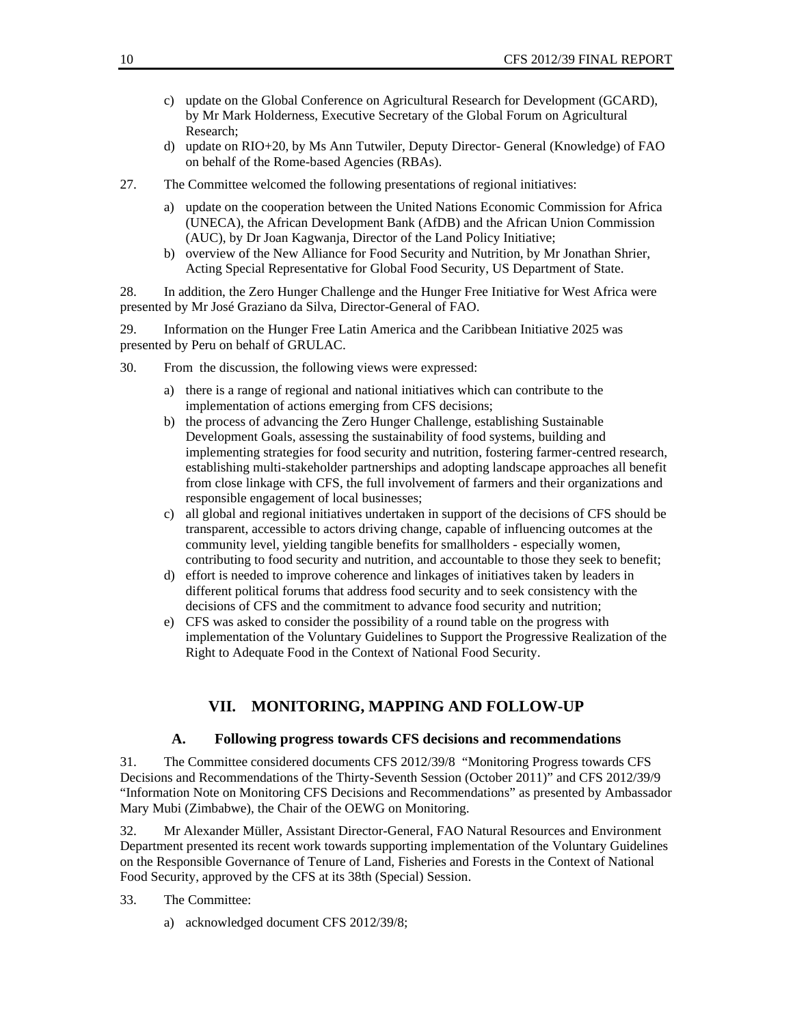- c) update on the Global Conference on Agricultural Research for Development (GCARD), by Mr Mark Holderness, Executive Secretary of the Global Forum on Agricultural Research;
- d) update on RIO+20, by Ms Ann Tutwiler, Deputy Director- General (Knowledge) of FAO on behalf of the Rome-based Agencies (RBAs).
- 27. The Committee welcomed the following presentations of regional initiatives:
	- a) update on the cooperation between the United Nations Economic Commission for Africa (UNECA), the African Development Bank (AfDB) and the African Union Commission (AUC), by Dr Joan Kagwanja, Director of the Land Policy Initiative;
	- b) overview of the New Alliance for Food Security and Nutrition, by Mr Jonathan Shrier, Acting Special Representative for Global Food Security, US Department of State.

28. In addition, the Zero Hunger Challenge and the Hunger Free Initiative for West Africa were presented by Mr José Graziano da Silva, Director-General of FAO.

29. Information on the Hunger Free Latin America and the Caribbean Initiative 2025 was presented by Peru on behalf of GRULAC.

- 30. From the discussion, the following views were expressed:
	- a) there is a range of regional and national initiatives which can contribute to the implementation of actions emerging from CFS decisions;
	- b) the process of advancing the Zero Hunger Challenge, establishing Sustainable Development Goals, assessing the sustainability of food systems, building and implementing strategies for food security and nutrition, fostering farmer-centred research, establishing multi-stakeholder partnerships and adopting landscape approaches all benefit from close linkage with CFS, the full involvement of farmers and their organizations and responsible engagement of local businesses;
	- c) all global and regional initiatives undertaken in support of the decisions of CFS should be transparent, accessible to actors driving change, capable of influencing outcomes at the community level, yielding tangible benefits for smallholders - especially women, contributing to food security and nutrition, and accountable to those they seek to benefit;
	- d) effort is needed to improve coherence and linkages of initiatives taken by leaders in different political forums that address food security and to seek consistency with the decisions of CFS and the commitment to advance food security and nutrition;
	- e) CFS was asked to consider the possibility of a round table on the progress with implementation of the Voluntary Guidelines to Support the Progressive Realization of the Right to Adequate Food in the Context of National Food Security.

#### **VII. MONITORING, MAPPING AND FOLLOW-UP**

#### **A. Following progress towards CFS decisions and recommendations**

31. The Committee considered documents CFS 2012/39/8 "Monitoring Progress towards CFS Decisions and Recommendations of the Thirty-Seventh Session (October 2011)" and CFS 2012/39/9 "Information Note on Monitoring CFS Decisions and Recommendations" as presented by Ambassador Mary Mubi (Zimbabwe), the Chair of the OEWG on Monitoring.

32. Mr Alexander Müller, Assistant Director-General, FAO Natural Resources and Environment Department presented its recent work towards supporting implementation of the Voluntary Guidelines on the Responsible Governance of Tenure of Land, Fisheries and Forests in the Context of National Food Security, approved by the CFS at its 38th (Special) Session.

#### 33. The Committee:

a) acknowledged document CFS 2012/39/8;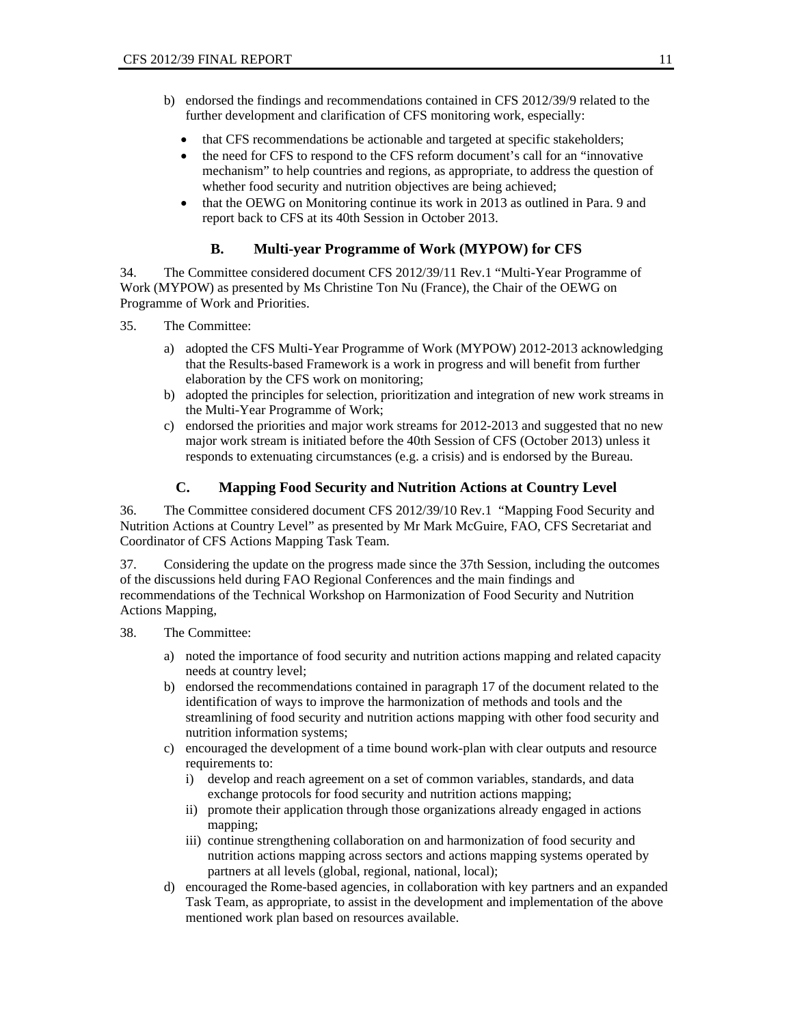- b) endorsed the findings and recommendations contained in CFS 2012/39/9 related to the further development and clarification of CFS monitoring work, especially:
	- that CFS recommendations be actionable and targeted at specific stakeholders;
	- the need for CFS to respond to the CFS reform document's call for an "innovative" mechanism" to help countries and regions, as appropriate, to address the question of whether food security and nutrition objectives are being achieved;
	- that the OEWG on Monitoring continue its work in 2013 as outlined in Para. 9 and report back to CFS at its 40th Session in October 2013.

## **B. Multi-year Programme of Work (MYPOW) for CFS**

34. The Committee considered document CFS 2012/39/11 Rev.1 "Multi-Year Programme of Work (MYPOW) as presented by Ms Christine Ton Nu (France), the Chair of the OEWG on Programme of Work and Priorities.

- 35. The Committee:
	- a) adopted the CFS Multi-Year Programme of Work (MYPOW) 2012-2013 acknowledging that the Results-based Framework is a work in progress and will benefit from further elaboration by the CFS work on monitoring;
	- b) adopted the principles for selection, prioritization and integration of new work streams in the Multi-Year Programme of Work;
	- c) endorsed the priorities and major work streams for 2012-2013 and suggested that no new major work stream is initiated before the 40th Session of CFS (October 2013) unless it responds to extenuating circumstances (e.g. a crisis) and is endorsed by the Bureau.

## **C. Mapping Food Security and Nutrition Actions at Country Level**

36. The Committee considered document CFS 2012/39/10 Rev.1 "Mapping Food Security and Nutrition Actions at Country Level" as presented by Mr Mark McGuire, FAO, CFS Secretariat and Coordinator of CFS Actions Mapping Task Team.

37. Considering the update on the progress made since the 37th Session, including the outcomes of the discussions held during FAO Regional Conferences and the main findings and recommendations of the Technical Workshop on Harmonization of Food Security and Nutrition Actions Mapping,

38. The Committee:

- a) noted the importance of food security and nutrition actions mapping and related capacity needs at country level;
- b) endorsed the recommendations contained in paragraph 17 of the document related to the identification of ways to improve the harmonization of methods and tools and the streamlining of food security and nutrition actions mapping with other food security and nutrition information systems;
- c) encouraged the development of a time bound work-plan with clear outputs and resource requirements to:
	- i) develop and reach agreement on a set of common variables, standards, and data exchange protocols for food security and nutrition actions mapping;
	- ii) promote their application through those organizations already engaged in actions mapping;
	- iii) continue strengthening collaboration on and harmonization of food security and nutrition actions mapping across sectors and actions mapping systems operated by partners at all levels (global, regional, national, local);
- d) encouraged the Rome-based agencies, in collaboration with key partners and an expanded Task Team, as appropriate, to assist in the development and implementation of the above mentioned work plan based on resources available.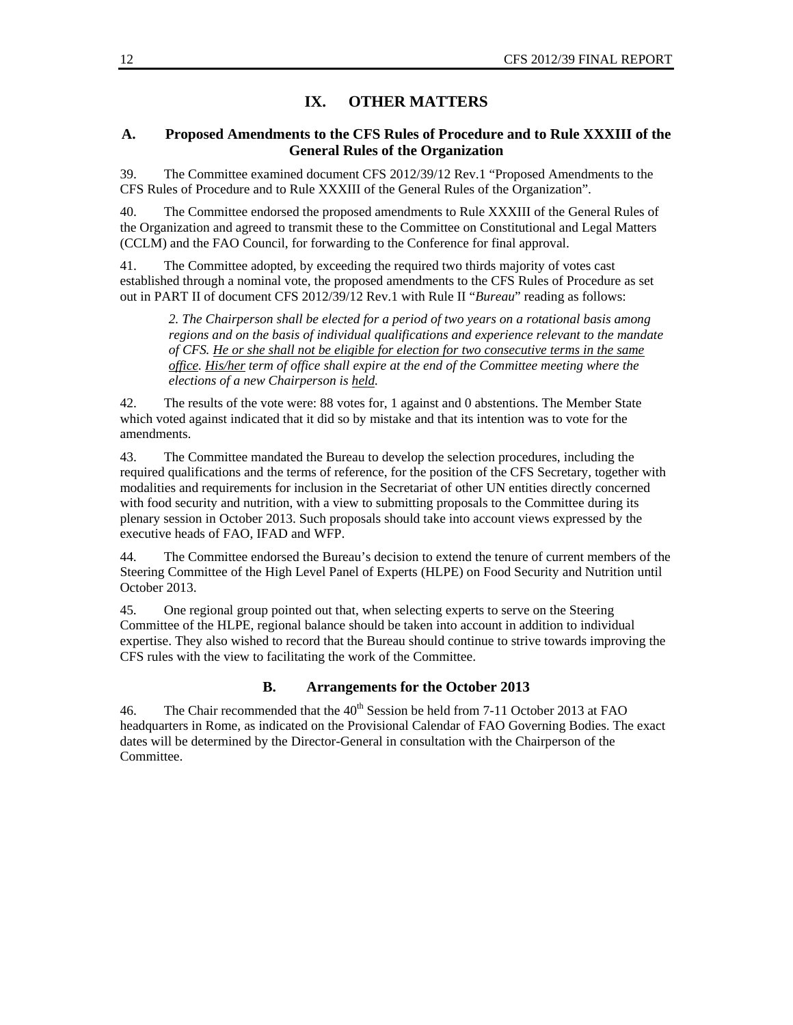## **IX. OTHER MATTERS**

## **A. Proposed Amendments to the CFS Rules of Procedure and to Rule XXXIII of the General Rules of the Organization**

39. The Committee examined document CFS 2012/39/12 Rev.1 "Proposed Amendments to the CFS Rules of Procedure and to Rule XXXIII of the General Rules of the Organization".

40. The Committee endorsed the proposed amendments to Rule XXXIII of the General Rules of the Organization and agreed to transmit these to the Committee on Constitutional and Legal Matters (CCLM) and the FAO Council, for forwarding to the Conference for final approval.

41. The Committee adopted, by exceeding the required two thirds majority of votes cast established through a nominal vote, the proposed amendments to the CFS Rules of Procedure as set out in PART II of document CFS 2012/39/12 Rev.1 with Rule II "*Bureau*" reading as follows:

*2. The Chairperson shall be elected for a period of two years on a rotational basis among regions and on the basis of individual qualifications and experience relevant to the mandate of CFS. He or she shall not be eligible for election for two consecutive terms in the same office. His/her term of office shall expire at the end of the Committee meeting where the elections of a new Chairperson is held.* 

42. The results of the vote were: 88 votes for, 1 against and 0 abstentions. The Member State which voted against indicated that it did so by mistake and that its intention was to vote for the amendments.

43. The Committee mandated the Bureau to develop the selection procedures, including the required qualifications and the terms of reference, for the position of the CFS Secretary, together with modalities and requirements for inclusion in the Secretariat of other UN entities directly concerned with food security and nutrition, with a view to submitting proposals to the Committee during its plenary session in October 2013. Such proposals should take into account views expressed by the executive heads of FAO, IFAD and WFP.

44. The Committee endorsed the Bureau's decision to extend the tenure of current members of the Steering Committee of the High Level Panel of Experts (HLPE) on Food Security and Nutrition until October 2013.

45. One regional group pointed out that, when selecting experts to serve on the Steering Committee of the HLPE, regional balance should be taken into account in addition to individual expertise. They also wished to record that the Bureau should continue to strive towards improving the CFS rules with the view to facilitating the work of the Committee.

#### **B. Arrangements for the October 2013**

46. The Chair recommended that the  $40<sup>th</sup>$  Session be held from 7-11 October 2013 at FAO headquarters in Rome, as indicated on the Provisional Calendar of FAO Governing Bodies. The exact dates will be determined by the Director-General in consultation with the Chairperson of the Committee.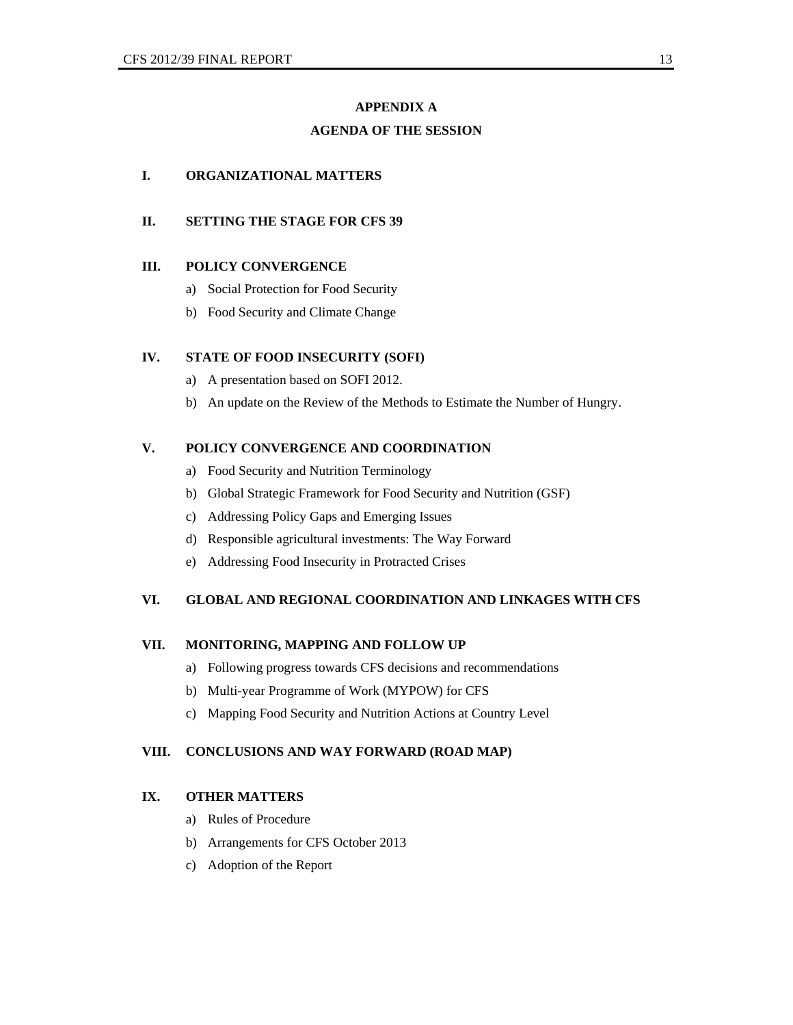# **APPENDIX A AGENDA OF THE SESSION**

#### **I. ORGANIZATIONAL MATTERS**

## **II. SETTING THE STAGE FOR CFS 39**

#### **III. POLICY CONVERGENCE**

- a) Social Protection for Food Security
- b) Food Security and Climate Change

## **IV. STATE OF FOOD INSECURITY (SOFI)**

- a) A presentation based on SOFI 2012.
- b) An update on the Review of the Methods to Estimate the Number of Hungry.

## **V. POLICY CONVERGENCE AND COORDINATION**

- a) Food Security and Nutrition Terminology
- b) Global Strategic Framework for Food Security and Nutrition (GSF)
- c) Addressing Policy Gaps and Emerging Issues
- d) Responsible agricultural investments: The Way Forward
- e) Addressing Food Insecurity in Protracted Crises

## **VI. GLOBAL AND REGIONAL COORDINATION AND LINKAGES WITH CFS**

#### **VII. MONITORING, MAPPING AND FOLLOW UP**

- a) Following progress towards CFS decisions and recommendations
- b) Multi-year Programme of Work (MYPOW) for CFS
- c) Mapping Food Security and Nutrition Actions at Country Level

#### **VIII. CONCLUSIONS AND WAY FORWARD (ROAD MAP)**

## **IX. OTHER MATTERS**

- a) Rules of Procedure
- b) Arrangements for CFS October 2013
- c) Adoption of the Report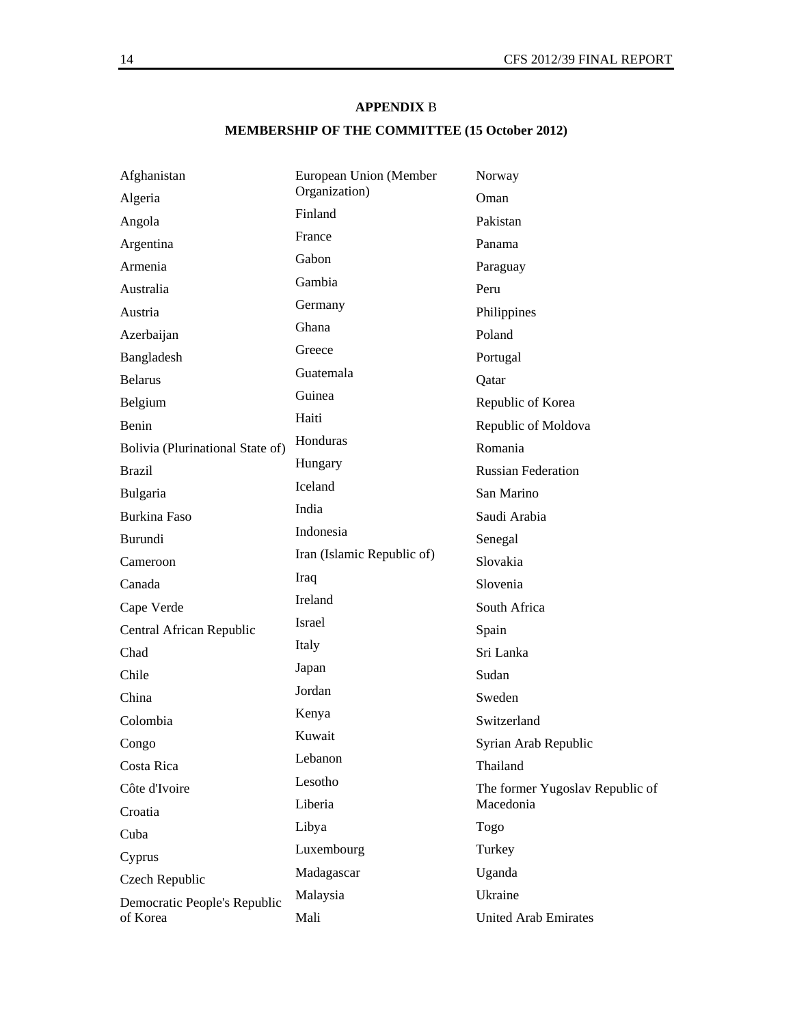## **APPENDIX** B

# **MEMBERSHIP OF THE COMMITTEE (15 October 2012)**

| Afghanistan                      | European Union (Member     | Norway                          |
|----------------------------------|----------------------------|---------------------------------|
| Algeria                          | Organization)              | Oman                            |
| Angola                           | Finland                    | Pakistan                        |
| Argentina                        | France                     | Panama                          |
| Armenia                          | Gabon                      | Paraguay                        |
| Australia                        | Gambia                     | Peru                            |
| Austria                          | Germany                    | Philippines                     |
| Azerbaijan                       | Ghana                      | Poland                          |
| Bangladesh                       | Greece                     | Portugal                        |
| <b>Belarus</b>                   | Guatemala                  | Qatar                           |
| Belgium                          | Guinea                     | Republic of Korea               |
| Benin                            | Haiti                      | Republic of Moldova             |
| Bolivia (Plurinational State of) | Honduras                   | Romania                         |
| <b>Brazil</b>                    | Hungary                    | <b>Russian Federation</b>       |
| Bulgaria                         | Iceland                    | San Marino                      |
| <b>Burkina Faso</b>              | India                      | Saudi Arabia                    |
| Burundi                          | Indonesia                  | Senegal                         |
| Cameroon                         | Iran (Islamic Republic of) | Slovakia                        |
| Canada                           | Iraq                       | Slovenia                        |
| Cape Verde                       | Ireland                    | South Africa                    |
| Central African Republic         | Israel                     | Spain                           |
| Chad                             | Italy                      | Sri Lanka                       |
| Chile                            | Japan                      | Sudan                           |
| China                            | Jordan                     | Sweden                          |
| Colombia                         | Kenya                      | Switzerland                     |
| Congo                            | Kuwait                     | Syrian Arab Republic            |
| Costa Rica                       | Lebanon                    | Thailand                        |
| Côte d'Ivoire                    | Lesotho                    | The former Yugoslav Republic of |
| Croatia                          | Liberia                    | Macedonia                       |
| Cuba                             | Libya                      | Togo                            |
| Cyprus                           | Luxembourg                 | Turkey                          |
| Czech Republic                   | Madagascar                 | Uganda                          |
| Democratic People's Republic     | Malaysia                   | Ukraine                         |
| of Korea                         | Mali                       | <b>United Arab Emirates</b>     |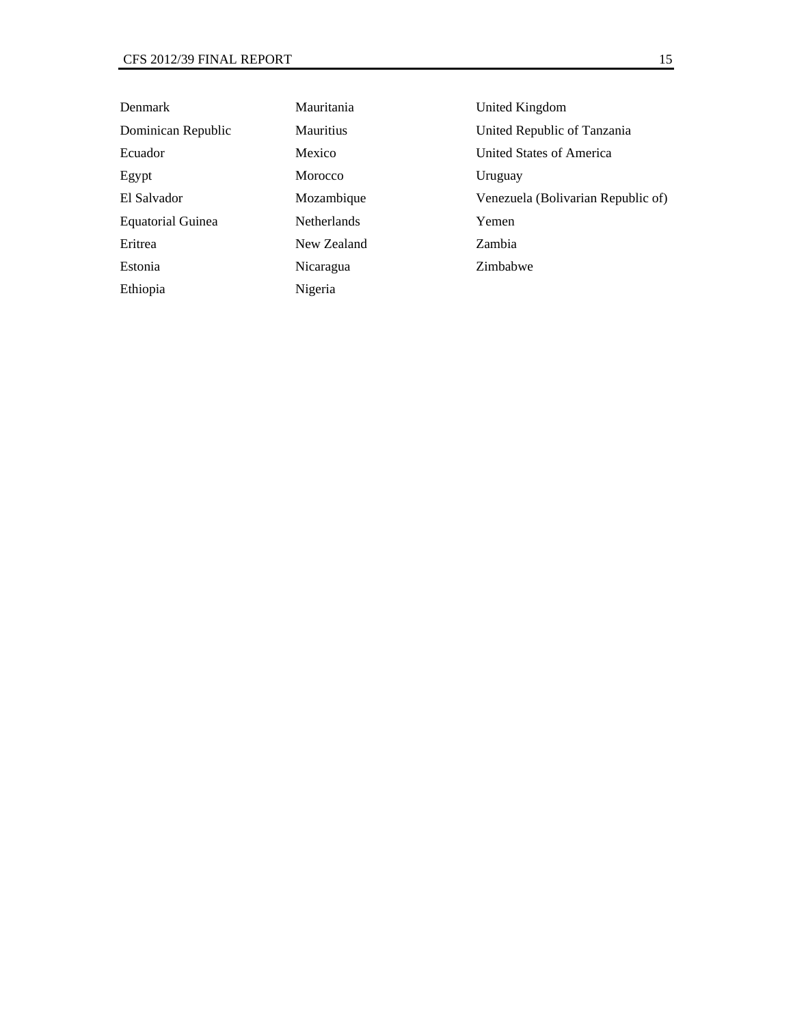| Denmark                  | Mauritania         | United Kingdom                     |
|--------------------------|--------------------|------------------------------------|
| Dominican Republic       | <b>Mauritius</b>   | United Republic of Tanzania        |
| Ecuador                  | Mexico             | <b>United States of America</b>    |
| Egypt                    | Morocco            | Uruguay                            |
| El Salvador              | Mozambique         | Venezuela (Bolivarian Republic of) |
| <b>Equatorial Guinea</b> | <b>Netherlands</b> | Yemen                              |
| Eritrea                  | New Zealand        | Zambia                             |
| Estonia                  | Nicaragua          | Zimbabwe                           |
| Ethiopia                 | Nigeria            |                                    |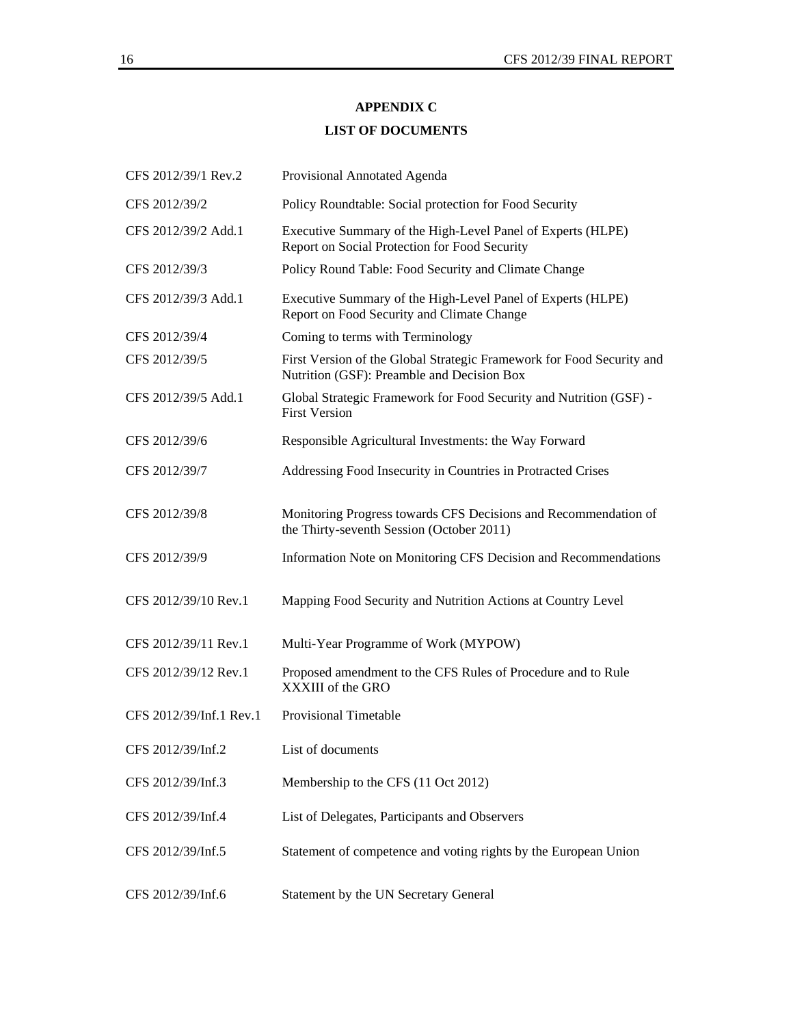## **APPENDIX C**

## **LIST OF DOCUMENTS**

| CFS 2012/39/1 Rev.2     | Provisional Annotated Agenda                                                                                        |  |
|-------------------------|---------------------------------------------------------------------------------------------------------------------|--|
| CFS 2012/39/2           | Policy Roundtable: Social protection for Food Security                                                              |  |
| CFS 2012/39/2 Add.1     | Executive Summary of the High-Level Panel of Experts (HLPE)<br>Report on Social Protection for Food Security        |  |
| CFS 2012/39/3           | Policy Round Table: Food Security and Climate Change                                                                |  |
| CFS 2012/39/3 Add.1     | Executive Summary of the High-Level Panel of Experts (HLPE)<br>Report on Food Security and Climate Change           |  |
| CFS 2012/39/4           | Coming to terms with Terminology                                                                                    |  |
| CFS 2012/39/5           | First Version of the Global Strategic Framework for Food Security and<br>Nutrition (GSF): Preamble and Decision Box |  |
| CFS 2012/39/5 Add.1     | Global Strategic Framework for Food Security and Nutrition (GSF) -<br><b>First Version</b>                          |  |
| CFS 2012/39/6           | Responsible Agricultural Investments: the Way Forward                                                               |  |
| CFS 2012/39/7           | Addressing Food Insecurity in Countries in Protracted Crises                                                        |  |
| CFS 2012/39/8           | Monitoring Progress towards CFS Decisions and Recommendation of<br>the Thirty-seventh Session (October 2011)        |  |
| CFS 2012/39/9           | Information Note on Monitoring CFS Decision and Recommendations                                                     |  |
| CFS 2012/39/10 Rev.1    | Mapping Food Security and Nutrition Actions at Country Level                                                        |  |
| CFS 2012/39/11 Rev.1    | Multi-Year Programme of Work (MYPOW)                                                                                |  |
| CFS 2012/39/12 Rev.1    | Proposed amendment to the CFS Rules of Procedure and to Rule<br>XXXIII of the GRO                                   |  |
| CFS 2012/39/Inf.1 Rev.1 | <b>Provisional Timetable</b>                                                                                        |  |
| CFS 2012/39/Inf.2       | List of documents                                                                                                   |  |
| CFS 2012/39/Inf.3       | Membership to the CFS (11 Oct 2012)                                                                                 |  |
| CFS 2012/39/Inf.4       | List of Delegates, Participants and Observers                                                                       |  |
| CFS 2012/39/Inf.5       | Statement of competence and voting rights by the European Union                                                     |  |
| CFS 2012/39/Inf.6       | Statement by the UN Secretary General                                                                               |  |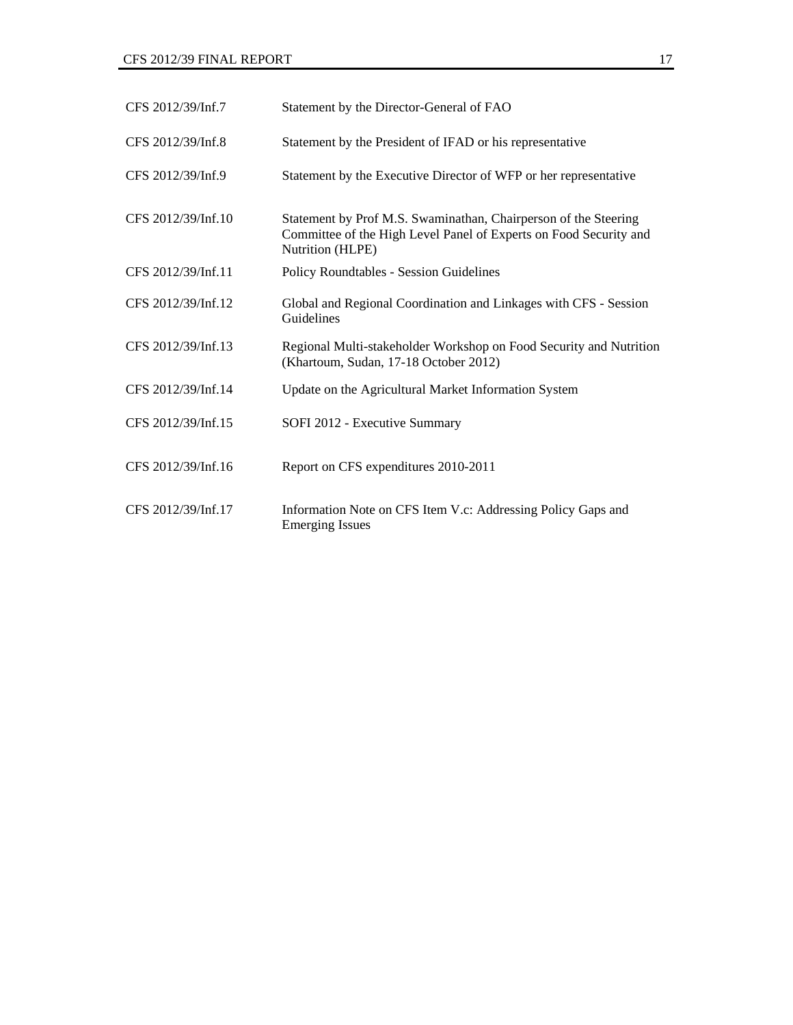| CFS 2012/39/Inf.7  | Statement by the Director-General of FAO                                                                                                                 |
|--------------------|----------------------------------------------------------------------------------------------------------------------------------------------------------|
| CFS 2012/39/Inf.8  | Statement by the President of IFAD or his representative                                                                                                 |
| CFS 2012/39/Inf.9  | Statement by the Executive Director of WFP or her representative                                                                                         |
| CFS 2012/39/Inf.10 | Statement by Prof M.S. Swaminathan, Chairperson of the Steering<br>Committee of the High Level Panel of Experts on Food Security and<br>Nutrition (HLPE) |
| CFS 2012/39/Inf.11 | <b>Policy Roundtables - Session Guidelines</b>                                                                                                           |
| CFS 2012/39/Inf.12 | Global and Regional Coordination and Linkages with CFS - Session<br>Guidelines                                                                           |
| CFS 2012/39/Inf.13 | Regional Multi-stakeholder Workshop on Food Security and Nutrition<br>(Khartoum, Sudan, 17-18 October 2012)                                              |
| CFS 2012/39/Inf.14 | Update on the Agricultural Market Information System                                                                                                     |
| CFS 2012/39/Inf.15 | SOFI 2012 - Executive Summary                                                                                                                            |
| CFS 2012/39/Inf.16 | Report on CFS expenditures 2010-2011                                                                                                                     |
| CFS 2012/39/Inf.17 | Information Note on CFS Item V.c: Addressing Policy Gaps and<br><b>Emerging Issues</b>                                                                   |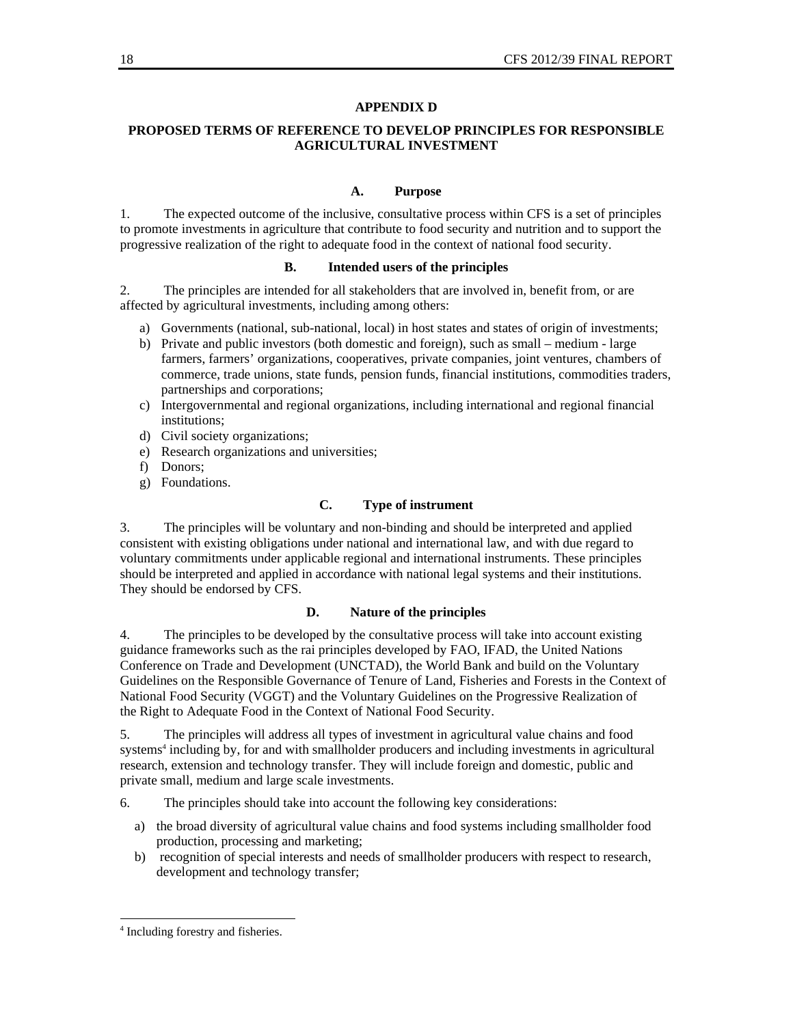#### **APPENDIX D**

## **PROPOSED TERMS OF REFERENCE TO DEVELOP PRINCIPLES FOR RESPONSIBLE AGRICULTURAL INVESTMENT**

#### **A. Purpose**

1. The expected outcome of the inclusive, consultative process within CFS is a set of principles to promote investments in agriculture that contribute to food security and nutrition and to support the progressive realization of the right to adequate food in the context of national food security.

#### **B. Intended users of the principles**

2. The principles are intended for all stakeholders that are involved in, benefit from, or are affected by agricultural investments, including among others:

- a) Governments (national, sub-national, local) in host states and states of origin of investments;
- b) Private and public investors (both domestic and foreign), such as small medium large farmers, farmers' organizations, cooperatives, private companies, joint ventures, chambers of commerce, trade unions, state funds, pension funds, financial institutions, commodities traders, partnerships and corporations;
- c) Intergovernmental and regional organizations, including international and regional financial institutions;
- d) Civil society organizations;
- e) Research organizations and universities;
- f) Donors;
- g) Foundations.

## **C. Type of instrument**

3. The principles will be voluntary and non-binding and should be interpreted and applied consistent with existing obligations under national and international law, and with due regard to voluntary commitments under applicable regional and international instruments. These principles should be interpreted and applied in accordance with national legal systems and their institutions. They should be endorsed by CFS.

#### **D. Nature of the principles**

4. The principles to be developed by the consultative process will take into account existing guidance frameworks such as the rai principles developed by FAO, IFAD, the United Nations Conference on Trade and Development (UNCTAD), the World Bank and build on the Voluntary Guidelines on the Responsible Governance of Tenure of Land, Fisheries and Forests in the Context of National Food Security (VGGT) and the Voluntary Guidelines on the Progressive Realization of the Right to Adequate Food in the Context of National Food Security.

5. The principles will address all types of investment in agricultural value chains and food systems<sup>4</sup> including by, for and with smallholder producers and including investments in agricultural research, extension and technology transfer. They will include foreign and domestic, public and private small, medium and large scale investments.

6. The principles should take into account the following key considerations:

- a) the broad diversity of agricultural value chains and food systems including smallholder food production, processing and marketing;
- b) recognition of special interests and needs of smallholder producers with respect to research, development and technology transfer;

l

<sup>4</sup> Including forestry and fisheries.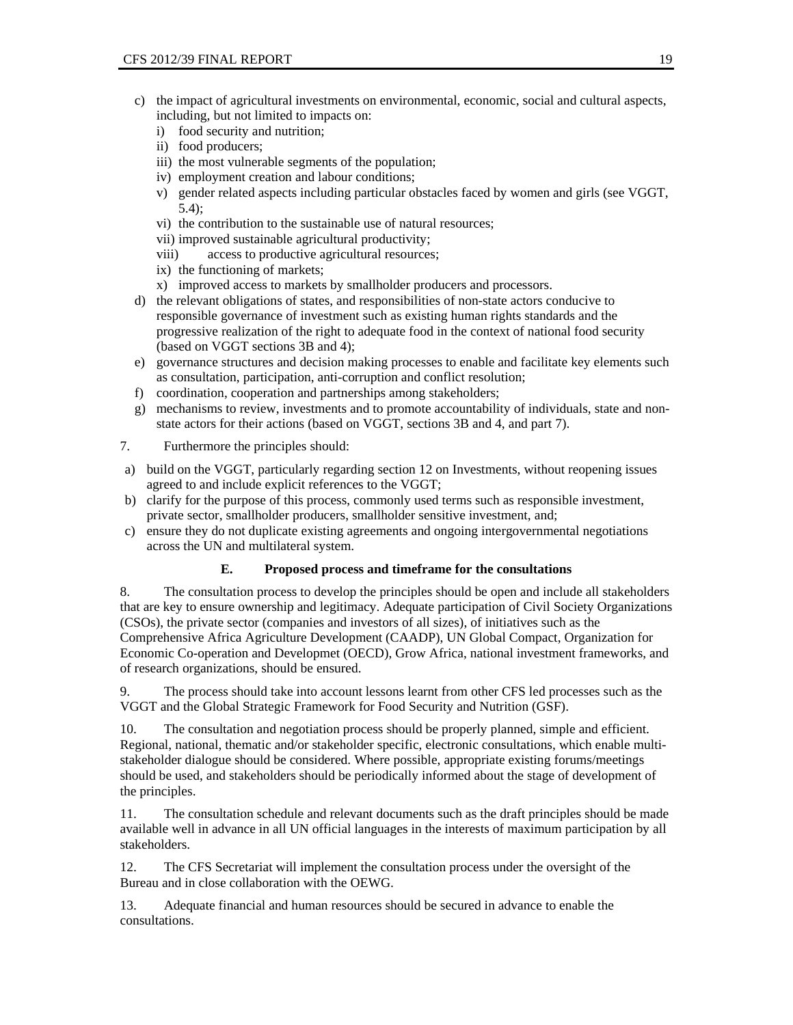- c) the impact of agricultural investments on environmental, economic, social and cultural aspects, including, but not limited to impacts on:
	- i) food security and nutrition;
	- ii) food producers;
	- iii) the most vulnerable segments of the population;
	- iv) employment creation and labour conditions;
	- v) gender related aspects including particular obstacles faced by women and girls (see VGGT, 5.4);
	- vi) the contribution to the sustainable use of natural resources;
	- vii) improved sustainable agricultural productivity;
	- viii) access to productive agricultural resources;
	- ix) the functioning of markets;
	- x) improved access to markets by smallholder producers and processors.
- d) the relevant obligations of states, and responsibilities of non-state actors conducive to responsible governance of investment such as existing human rights standards and the progressive realization of the right to adequate food in the context of national food security (based on VGGT sections 3B and 4);
- e) governance structures and decision making processes to enable and facilitate key elements such as consultation, participation, anti-corruption and conflict resolution;
- f) coordination, cooperation and partnerships among stakeholders;
- g) mechanisms to review, investments and to promote accountability of individuals, state and nonstate actors for their actions (based on VGGT, sections 3B and 4, and part 7).
- 7. Furthermore the principles should:
- a) build on the VGGT, particularly regarding section 12 on Investments, without reopening issues agreed to and include explicit references to the VGGT;
- b) clarify for the purpose of this process, commonly used terms such as responsible investment, private sector, smallholder producers, smallholder sensitive investment, and;
- c) ensure they do not duplicate existing agreements and ongoing intergovernmental negotiations across the UN and multilateral system.

#### **E. Proposed process and timeframe for the consultations**

8. The consultation process to develop the principles should be open and include all stakeholders that are key to ensure ownership and legitimacy. Adequate participation of Civil Society Organizations (CSOs), the private sector (companies and investors of all sizes), of initiatives such as the Comprehensive Africa Agriculture Development (CAADP), UN Global Compact, Organization for Economic Co-operation and Developmet (OECD), Grow Africa, national investment frameworks, and of research organizations, should be ensured.

9. The process should take into account lessons learnt from other CFS led processes such as the VGGT and the Global Strategic Framework for Food Security and Nutrition (GSF).

10. The consultation and negotiation process should be properly planned, simple and efficient. Regional, national, thematic and/or stakeholder specific, electronic consultations, which enable multistakeholder dialogue should be considered. Where possible, appropriate existing forums/meetings should be used, and stakeholders should be periodically informed about the stage of development of the principles.

11. The consultation schedule and relevant documents such as the draft principles should be made available well in advance in all UN official languages in the interests of maximum participation by all stakeholders.

12. The CFS Secretariat will implement the consultation process under the oversight of the Bureau and in close collaboration with the OEWG.

13. Adequate financial and human resources should be secured in advance to enable the consultations.